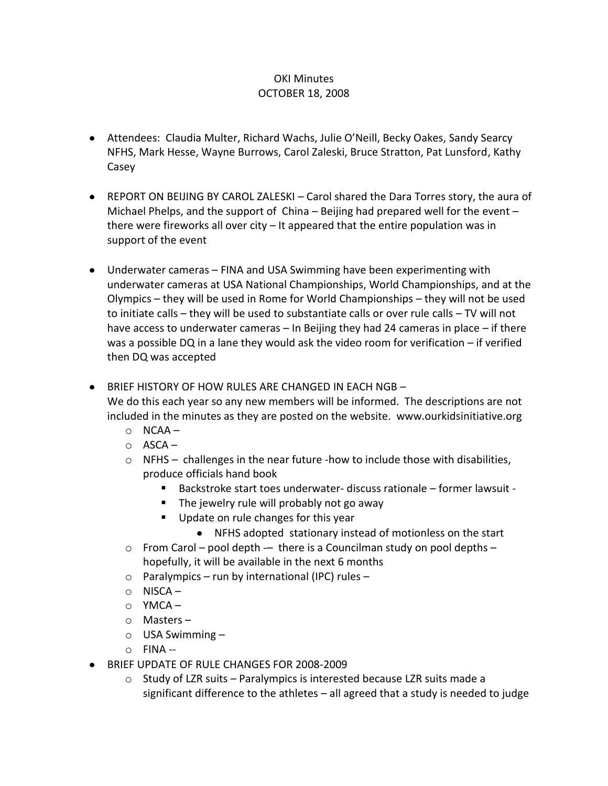## OKI Minutes OCTOBER 18, 2008

- Attendees: Claudia Multer, Richard Wachs, Julie O'Neill, Becky Oakes, Sandy Searcy NFHS, Mark Hesse, Wayne Burrows, Carol Zaleski, Bruce Stratton, Pat Lunsford, Kathy Casey
- REPORT ON BEIJING BY CAROL ZALESKI Carol shared the Dara Torres story, the aura of Michael Phelps, and the support of China – Beijing had prepared well for the event – there were fireworks all over city – It appeared that the entire population was in support of the event
- Underwater cameras FINA and USA Swimming have been experimenting with underwater cameras at USA National Championships, World Championships, and at the Olympics – they will be used in Rome for World Championships – they will not be used to initiate calls – they will be used to substantiate calls or over rule calls – TV will not have access to underwater cameras – In Beijing they had 24 cameras in place – if there was a possible DQ in a lane they would ask the video room for verification – if verified then DQ was accepted
- BRIEF HISTORY OF HOW RULES ARE CHANGED IN EACH NGB –

We do this each year so any new members will be informed. The descriptions are not included in the minutes as they are posted on the website. www.ourkidsinitiative.org

- $O$  NCAA –
- $O$  ASCA –
- o NFHS challenges in the near future -how to include those with disabilities, produce officials hand book
	- Backstroke start toes underwater- discuss rationale former lawsuit -
	- The jewelry rule will probably not go away
	- Update on rule changes for this year
		- NFHS adopted stationary instead of motionless on the start
- $\circ$  From Carol pool depth -– there is a Councilman study on pool depths hopefully, it will be available in the next 6 months
- $\circ$  Paralympics run by international (IPC) rules –
- $\circ$  NISCA –
- o YMCA –
- o Masters –
- $\circ$  USA Swimming –
- $O$  FINA --
- BRIEF UPDATE OF RULE CHANGES FOR 2008-2009
	- $\circ$  Study of LZR suits Paralympics is interested because LZR suits made a significant difference to the athletes – all agreed that a study is needed to judge